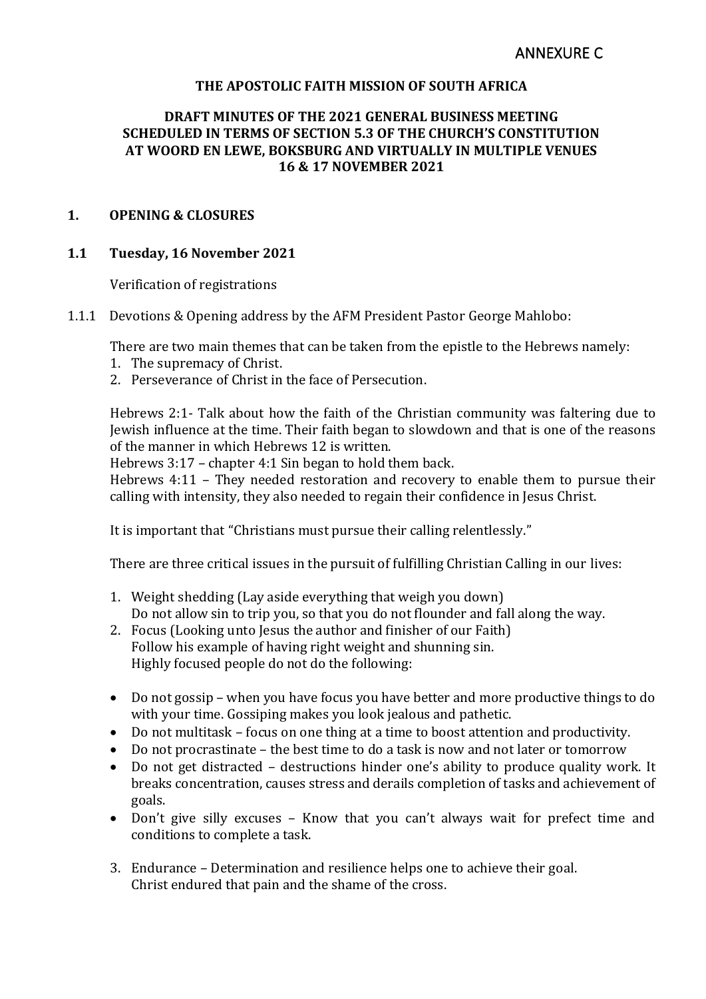### **THE APOSTOLIC FAITH MISSION OF SOUTH AFRICA**

### **DRAFT MINUTES OF THE 2021 GENERAL BUSINESS MEETING SCHEDULED IN TERMS OF SECTION 5.3 OF THE CHURCH'S CONSTITUTION AT WOORD EN LEWE, BOKSBURG AND VIRTUALLY IN MULTIPLE VENUES 16 & 17 NOVEMBER 2021**

#### **1. OPENING & CLOSURES**

#### **1.1 Tuesday, 16 November 2021**

Verification of registrations

1.1.1 Devotions & Opening address by the AFM President Pastor George Mahlobo:

There are two main themes that can be taken from the epistle to the Hebrews namely:

- 1. The supremacy of Christ.
- 2. Perseverance of Christ in the face of Persecution.

Hebrews 2:1- Talk about how the faith of the Christian community was faltering due to Jewish influence at the time. Their faith began to slowdown and that is one of the reasons of the manner in which Hebrews 12 is written.

Hebrews 3:17 – chapter 4:1 Sin began to hold them back.

Hebrews 4:11 – They needed restoration and recovery to enable them to pursue their calling with intensity, they also needed to regain their confidence in Jesus Christ.

It is important that "Christians must pursue their calling relentlessly."

There are three critical issues in the pursuit of fulfilling Christian Calling in our lives:

- 1. Weight shedding (Lay aside everything that weigh you down) Do not allow sin to trip you, so that you do not flounder and fall along the way.
- 2. Focus (Looking unto Jesus the author and finisher of our Faith) Follow his example of having right weight and shunning sin. Highly focused people do not do the following:
- Do not gossip when you have focus you have better and more productive things to do with your time. Gossiping makes you look jealous and pathetic.
- Do not multitask focus on one thing at a time to boost attention and productivity.
- Do not procrastinate the best time to do a task is now and not later or tomorrow
- Do not get distracted destructions hinder one's ability to produce quality work. It breaks concentration, causes stress and derails completion of tasks and achievement of goals.
- Don't give silly excuses Know that you can't always wait for prefect time and conditions to complete a task.
- 3. Endurance Determination and resilience helps one to achieve their goal. Christ endured that pain and the shame of the cross.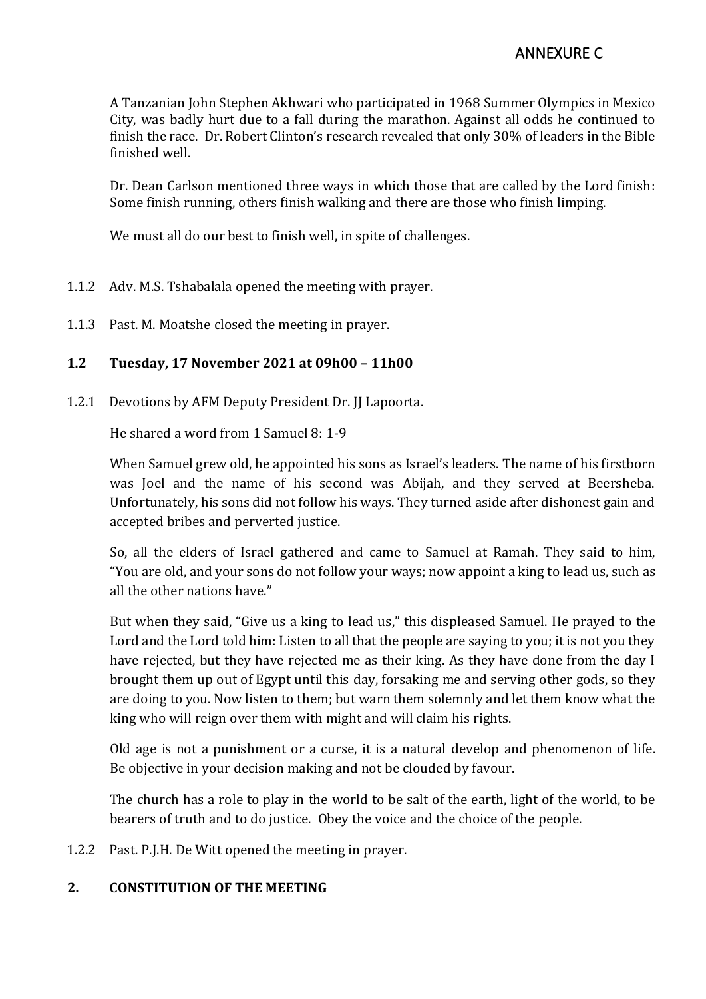A Tanzanian John Stephen Akhwari who participated in 1968 Summer Olympics in Mexico City, was badly hurt due to a fall during the marathon. Against all odds he continued to finish the race. Dr. Robert Clinton's research revealed that only 30% of leaders in the Bible finished well.

Dr. Dean Carlson mentioned three ways in which those that are called by the Lord finish: Some finish running, others finish walking and there are those who finish limping.

We must all do our best to finish well, in spite of challenges.

- 1.1.2 Adv. M.S. Tshabalala opened the meeting with prayer.
- 1.1.3 Past. M. Moatshe closed the meeting in prayer.

# **1.2 Tuesday, 17 November 2021 at 09h00 – 11h00**

1.2.1 Devotions by AFM Deputy President Dr. JJ Lapoorta.

He shared a word from 1 Samuel 8: 1-9

When Samuel grew old, he appointed his sons as Israel's leaders. The name of his firstborn was Joel and the name of his second was Abijah, and they served at Beersheba. Unfortunately, his sons did not follow his ways. They turned aside after dishonest gain and accepted bribes and perverted justice.

So, all the elders of Israel gathered and came to Samuel at Ramah. They said to him, "You are old, and your sons do not follow your ways; now appoint a king to lead us, such as all the other nations have."

But when they said, "Give us a king to lead us," this displeased Samuel. He prayed to the Lord and the Lord told him: Listen to all that the people are saying to you; it is not you they have rejected, but they have rejected me as their king. As they have done from the day I brought them up out of Egypt until this day, forsaking me and serving other gods, so they are doing to you. Now listen to them; but warn them solemnly and let them know what the king who will reign over them with might and will claim his rights.

Old age is not a punishment or a curse, it is a natural develop and phenomenon of life. Be objective in your decision making and not be clouded by favour.

The church has a role to play in the world to be salt of the earth, light of the world, to be bearers of truth and to do justice. Obey the voice and the choice of the people.

1.2.2 Past. P.J.H. De Witt opened the meeting in prayer.

# **2. CONSTITUTION OF THE MEETING**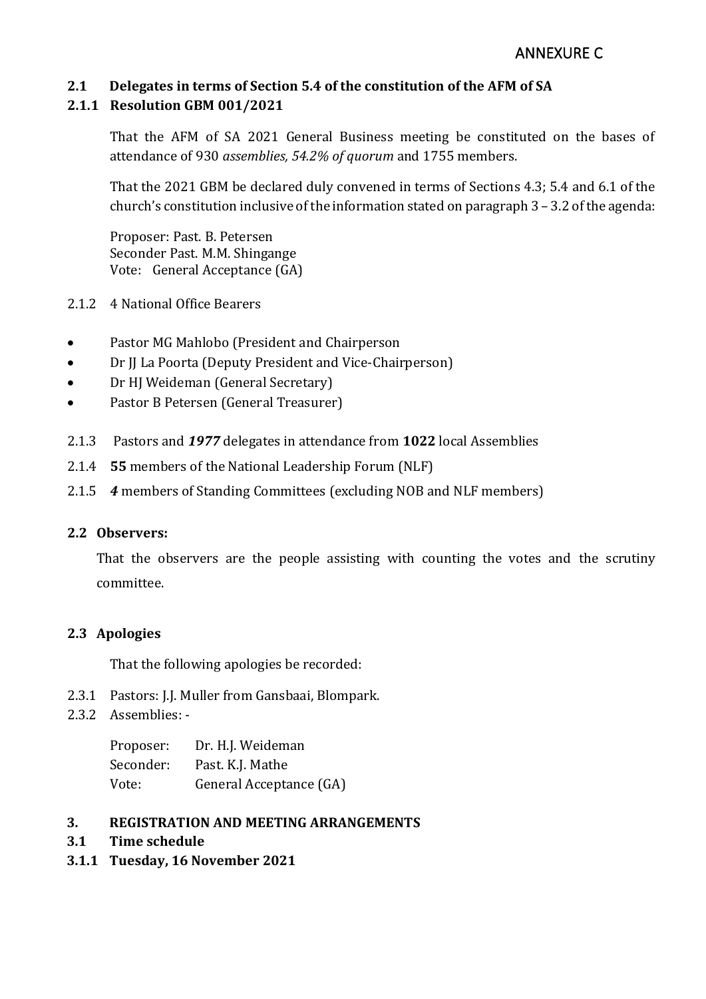# **2.1 Delegates in terms of Section 5.4 of the constitution of the AFM of SA**

# **2.1.1 Resolution GBM 001/2021**

That the AFM of SA 2021 General Business meeting be constituted on the bases of attendance of 930 *assemblies, 54.2% of quorum* and 1755 members.

That the 2021 GBM be declared duly convened in terms of Sections 4.3; 5.4 and 6.1 of the church's constitution inclusive of the information stated on paragraph 3 – 3.2 of the agenda:

Proposer: Past. B. Petersen Seconder Past. M.M. Shingange Vote: General Acceptance (GA)

- 2.1.2 4 National Office Bearers
- Pastor MG Mahlobo (President and Chairperson
- Dr JJ La Poorta (Deputy President and Vice-Chairperson)
- Dr HJ Weideman (General Secretary)
- Pastor B Petersen (General Treasurer)
- 2.1.3 Pastors and *1977* delegates in attendance from **1022** local Assemblies
- 2.1.4 **55** members of the National Leadership Forum (NLF)
- 2.1.5 *4* members of Standing Committees (excluding NOB and NLF members)

### **2.2 Observers:**

That the observers are the people assisting with counting the votes and the scrutiny committee.

### **2.3 Apologies**

That the following apologies be recorded:

- 2.3.1 Pastors: J.J. Muller from Gansbaai, Blompark.
- 2.3.2 Assemblies: -

| Proposer: | Dr. H.J. Weideman       |
|-----------|-------------------------|
| Seconder: | Past. K.J. Mathe        |
| Vote:     | General Acceptance (GA) |

### **3. REGISTRATION AND MEETING ARRANGEMENTS**

- **3.1 Time schedule**
- **3.1.1 Tuesday, 16 November 2021**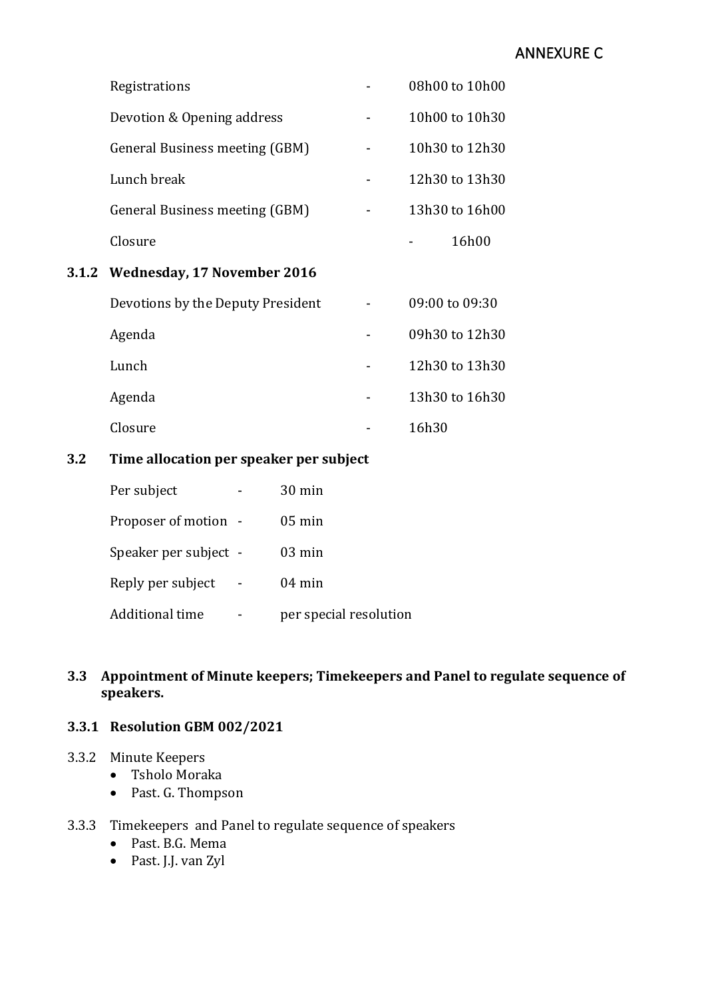# ANNEXURE C

| 3.1.2 Wednesday, 17 November 2016 |                |
|-----------------------------------|----------------|
| Closure                           | 16h00          |
| General Business meeting (GBM)    | 13h30 to 16h00 |
| Lunch break                       | 12h30 to 13h30 |
| General Business meeting (GBM)    | 10h30 to 12h30 |
| Devotion & Opening address        | 10h00 to 10h30 |
| Registrations                     | 08h00 to 10h00 |

| Devotions by the Deputy President | 09:00 to 09:30 |
|-----------------------------------|----------------|
| Agenda                            | 09h30 to 12h30 |
| Lunch                             | 12h30 to 13h30 |
| Agenda                            | 13h30 to 16h30 |
| Closure                           | 16h30          |

# **3.2 Time allocation per speaker per subject**

| Per subject           | $30 \text{ min}$       |
|-----------------------|------------------------|
| Proposer of motion -  | $05 \text{ min}$       |
| Speaker per subject - | $03 \text{ min}$       |
| Reply per subject     | $04 \text{ min}$       |
| Additional time       | per special resolution |

# **3.3 Appointment of Minute keepers; Timekeepers and Panel to regulate sequence of speakers.**

# **3.3.1 Resolution GBM 002/2021**

#### 3.3.2 Minute Keepers

- Tsholo Moraka
- Past. G. Thompson

# 3.3.3 Timekeepers and Panel to regulate sequence of speakers

- Past. B.G. Mema
- Past. J.J. van Zyl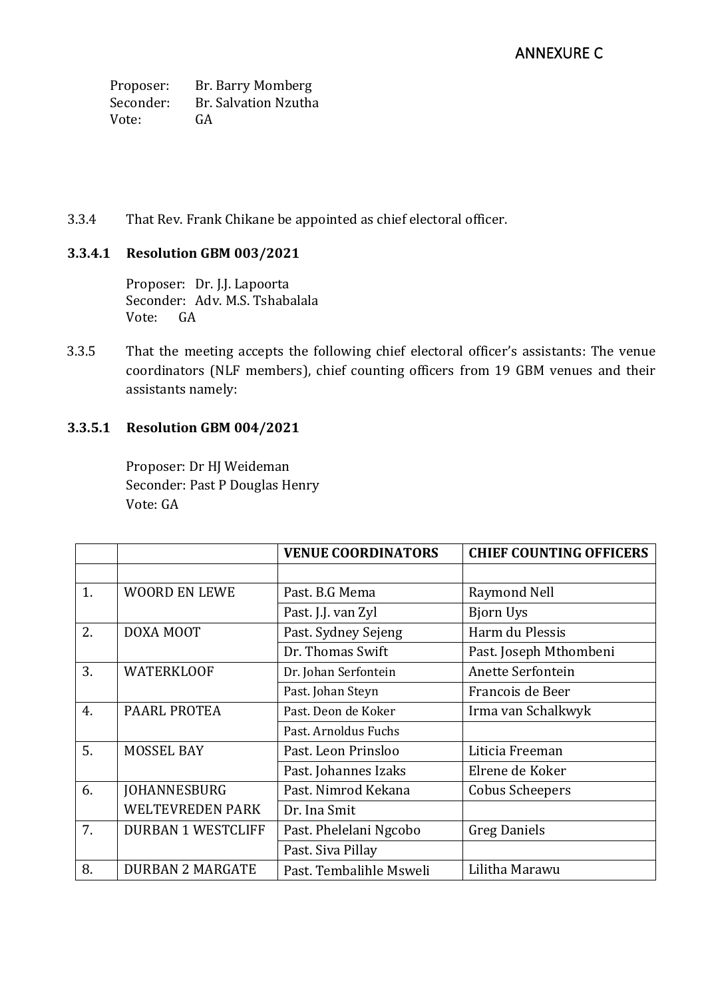Proposer: Br. Barry Momberg Seconder: Br. Salvation Nzutha Vote: GA

### 3.3.4 That Rev. Frank Chikane be appointed as chief electoral officer.

# **3.3.4.1 Resolution GBM 003/2021**

Proposer: Dr. J.J. Lapoorta Seconder: Adv. M.S. Tshabalala Vote: GA

3.3.5 That the meeting accepts the following chief electoral officer's assistants: The venue coordinators (NLF members), chief counting officers from 19 GBM venues and their assistants namely:

# **3.3.5.1 Resolution GBM 004/2021**

Proposer: Dr HJ Weideman Seconder: Past P Douglas Henry Vote: GA

|    |                           | <b>VENUE COORDINATORS</b> | <b>CHIEF COUNTING OFFICERS</b> |
|----|---------------------------|---------------------------|--------------------------------|
|    |                           |                           |                                |
| 1. | <b>WOORD EN LEWE</b>      | Past. B.G Mema            | Raymond Nell                   |
|    |                           | Past. J.J. van Zyl        | <b>Bjorn Uys</b>               |
| 2. | DOXA MOOT                 | Past. Sydney Sejeng       | Harm du Plessis                |
|    |                           | Dr. Thomas Swift          | Past. Joseph Mthombeni         |
| 3. | <b>WATERKLOOF</b>         | Dr. Johan Serfontein      | Anette Serfontein              |
|    |                           | Past. Johan Steyn         | Francois de Beer               |
| 4. | PAARL PROTEA              | Past. Deon de Koker       | Irma van Schalkwyk             |
|    |                           | Past. Arnoldus Fuchs      |                                |
| 5. | <b>MOSSEL BAY</b>         | Past. Leon Prinsloo       | Liticia Freeman                |
|    |                           | Past. Johannes Izaks      | Elrene de Koker                |
| 6. | <b>JOHANNESBURG</b>       | Past. Nimrod Kekana       | <b>Cobus Scheepers</b>         |
|    | <b>WELTEVREDEN PARK</b>   | Dr. Ina Smit              |                                |
| 7. | <b>DURBAN 1 WESTCLIFF</b> | Past. Phelelani Ngcobo    | <b>Greg Daniels</b>            |
|    |                           | Past. Siva Pillay         |                                |
| 8. | <b>DURBAN 2 MARGATE</b>   | Past. Tembalihle Msweli   | Lilitha Marawu                 |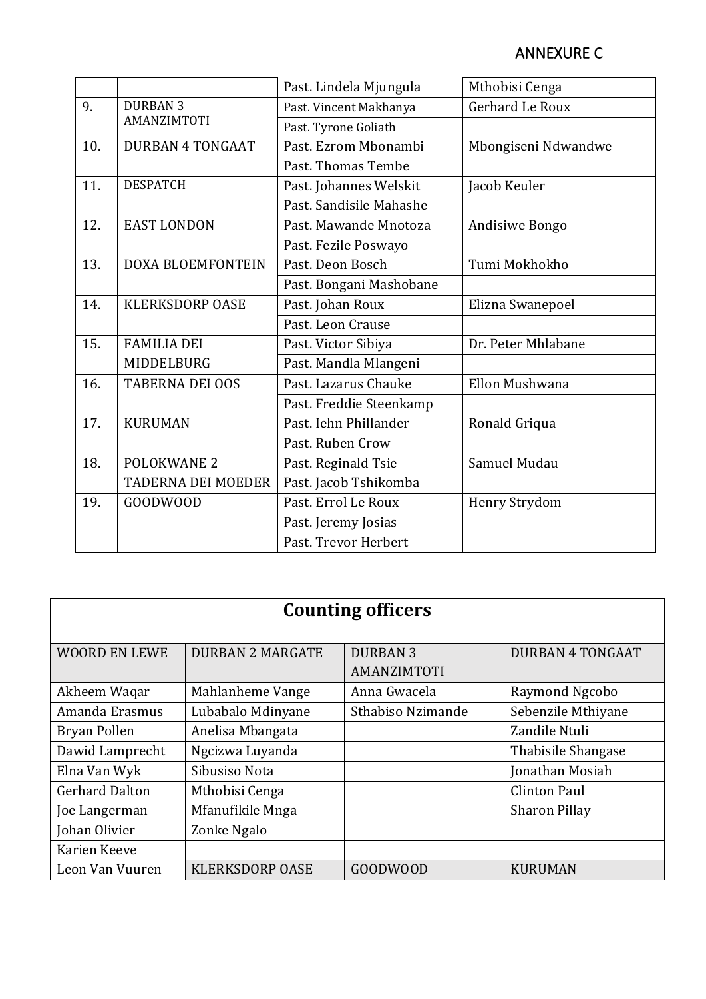# ANNEXURE C

|     |                           | Past. Lindela Mjungula  | Mthobisi Cenga      |
|-----|---------------------------|-------------------------|---------------------|
|     |                           |                         |                     |
| 9.  | <b>DURBAN 3</b>           | Past. Vincent Makhanya  | Gerhard Le Roux     |
|     | AMANZIMTOTI               | Past. Tyrone Goliath    |                     |
| 10. | <b>DURBAN 4 TONGAAT</b>   | Past, Ezrom Mbonambi    | Mbongiseni Ndwandwe |
|     |                           | Past. Thomas Tembe      |                     |
| 11. | <b>DESPATCH</b>           | Past. Johannes Welskit  | Jacob Keuler        |
|     |                           | Past. Sandisile Mahashe |                     |
| 12. | <b>EAST LONDON</b>        | Past. Mawande Mnotoza   | Andisiwe Bongo      |
|     |                           | Past. Fezile Poswayo    |                     |
| 13. | <b>DOXA BLOEMFONTEIN</b>  | Past. Deon Bosch        | Tumi Mokhokho       |
|     |                           | Past. Bongani Mashobane |                     |
| 14. | <b>KLERKSDORP OASE</b>    | Past. Johan Roux        | Elizna Swanepoel    |
|     |                           | Past. Leon Crause       |                     |
| 15. | <b>FAMILIA DEI</b>        | Past. Victor Sibiya     | Dr. Peter Mhlabane  |
|     | MIDDELBURG                | Past. Mandla Mlangeni   |                     |
| 16. | <b>TABERNA DEI OOS</b>    | Past, Lazarus Chauke    | Ellon Mushwana      |
|     |                           | Past. Freddie Steenkamp |                     |
| 17. | <b>KURUMAN</b>            | Past. Iehn Phillander   | Ronald Griqua       |
|     |                           | Past. Ruben Crow        |                     |
| 18. | <b>POLOKWANE 2</b>        | Past. Reginald Tsie     | Samuel Mudau        |
|     | <b>TADERNA DEI MOEDER</b> | Past. Jacob Tshikomba   |                     |
| 19. | GOODWOOD                  | Past. Errol Le Roux     | Henry Strydom       |
|     |                           | Past. Jeremy Josias     |                     |
|     |                           | Past. Trevor Herbert    |                     |

| <b>Counting officers</b> |                         |                                |                         |
|--------------------------|-------------------------|--------------------------------|-------------------------|
| <b>WOORD EN LEWE</b>     | <b>DURBAN 2 MARGATE</b> | <b>DURBAN 3</b><br>AMANZIMTOTI | <b>DURBAN 4 TONGAAT</b> |
| Akheem Waqar             | Mahlanheme Vange        | Anna Gwacela                   | Raymond Ngcobo          |
| Amanda Erasmus           | Lubabalo Mdinyane       | Sthabiso Nzimande              | Sebenzile Mthiyane      |
| Bryan Pollen             | Anelisa Mbangata        |                                | Zandile Ntuli           |
| Dawid Lamprecht          | Ngcizwa Luyanda         |                                | Thabisile Shangase      |
| Elna Van Wyk             | Sibusiso Nota           |                                | Jonathan Mosiah         |
| <b>Gerhard Dalton</b>    | Mthobisi Cenga          |                                | <b>Clinton Paul</b>     |
| Joe Langerman            | Mfanufikile Mnga        |                                | <b>Sharon Pillay</b>    |
| Johan Olivier            | Zonke Ngalo             |                                |                         |
| Karien Keeve             |                         |                                |                         |
| Leon Van Vuuren          | <b>KLERKSDORP OASE</b>  | <b>GOODWOOD</b>                | <b>KURUMAN</b>          |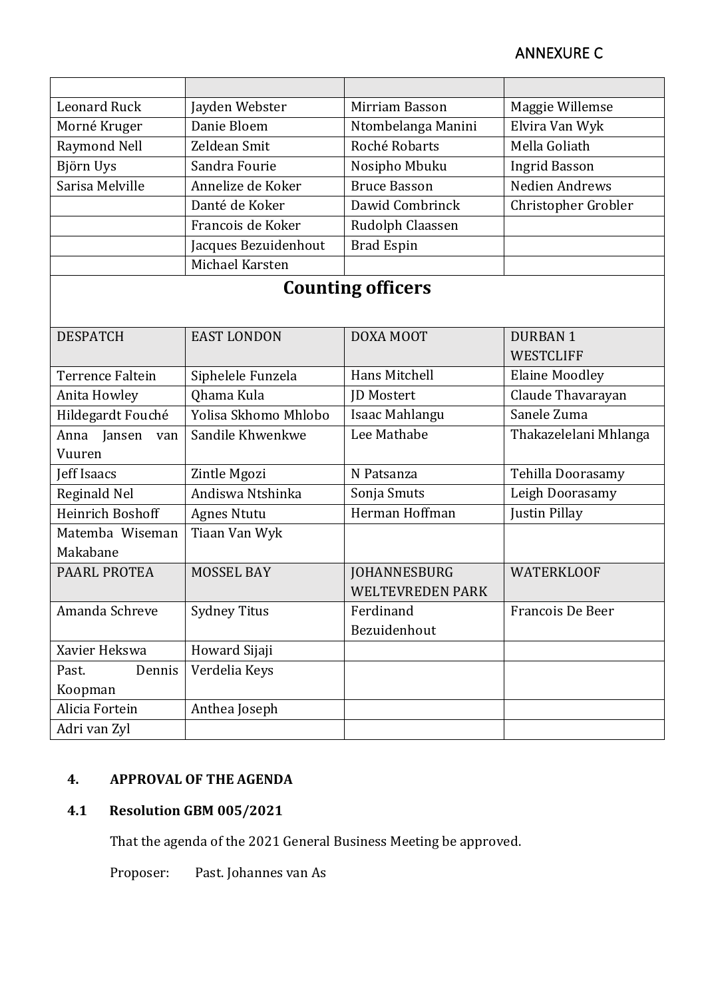| <b>Leonard Ruck</b>     | Jayden Webster       | Mirriam Basson           | Maggie Willemse       |
|-------------------------|----------------------|--------------------------|-----------------------|
| Morné Kruger            | Danie Bloem          | Ntombelanga Manini       | Elvira Van Wyk        |
| Raymond Nell            | Zeldean Smit         | Roché Robarts            | Mella Goliath         |
| Björn Uys               | Sandra Fourie        | Nosipho Mbuku            | <b>Ingrid Basson</b>  |
| Sarisa Melville         | Annelize de Koker    | <b>Bruce Basson</b>      | Nedien Andrews        |
|                         | Danté de Koker       | Dawid Combrinck          | Christopher Grobler   |
|                         | Francois de Koker    | Rudolph Claassen         |                       |
|                         | Jacques Bezuidenhout | <b>Brad Espin</b>        |                       |
|                         | Michael Karsten      |                          |                       |
|                         |                      | <b>Counting officers</b> |                       |
|                         |                      |                          |                       |
| <b>DESPATCH</b>         | <b>EAST LONDON</b>   | DOXA MOOT                | <b>DURBAN1</b>        |
|                         |                      |                          | <b>WESTCLIFF</b>      |
| <b>Terrence Faltein</b> | Siphelele Funzela    | Hans Mitchell            | <b>Elaine Moodley</b> |
| Anita Howley            | Qhama Kula           | <b>JD</b> Mostert        | Claude Thavarayan     |
|                         | Yolisa Skhomo Mhlobo |                          | Sanele Zuma           |
| Hildegardt Fouché       |                      | Isaac Mahlangu           |                       |
| Anna Jansen<br>van      | Sandile Khwenkwe     | Lee Mathabe              | Thakazelelani Mhlanga |
| Vuuren                  |                      |                          |                       |
| Jeff Isaacs             | Zintle Mgozi         | N Patsanza               | Tehilla Doorasamy     |
| Reginald Nel            | Andiswa Ntshinka     | Sonja Smuts              | Leigh Doorasamy       |
| Heinrich Boshoff        | Agnes Ntutu          | Herman Hoffman           | Justin Pillay         |
| Matemba Wiseman         | Tiaan Van Wyk        |                          |                       |
| Makabane                |                      |                          |                       |
| PAARL PROTEA            | <b>MOSSEL BAY</b>    | <b>JOHANNESBURG</b>      | <b>WATERKLOOF</b>     |
|                         |                      | <b>WELTEVREDEN PARK</b>  |                       |
| Amanda Schreve          | <b>Sydney Titus</b>  | Ferdinand                | Francois De Beer      |
|                         |                      | Bezuidenhout             |                       |
| Xavier Hekswa           | Howard Sijaji        |                          |                       |
| Dennis<br>Past.         | Verdelia Keys        |                          |                       |
| Koopman                 |                      |                          |                       |
| Alicia Fortein          | Anthea Joseph        |                          |                       |
| Adri van Zyl            |                      |                          |                       |

# **4. APPROVAL OF THE AGENDA**

# **4.1 Resolution GBM 005/2021**

That the agenda of the 2021 General Business Meeting be approved.

Proposer: Past. Johannes van As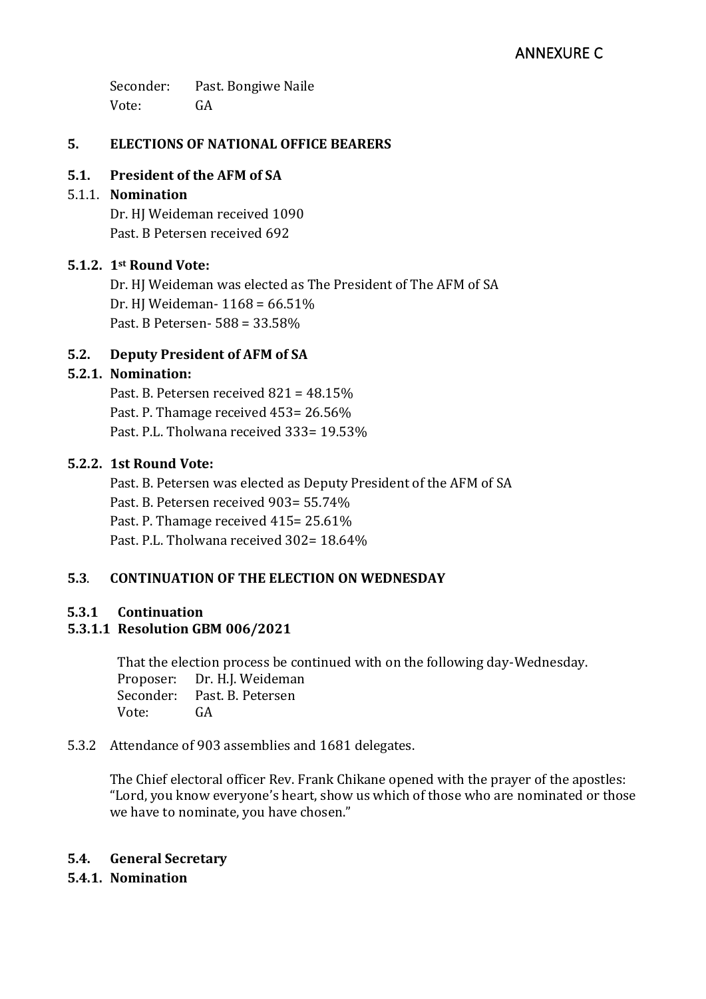Seconder: Past. Bongiwe Naile Vote: GA

# **5. ELECTIONS OF NATIONAL OFFICE BEARERS**

# **5.1. President of the AFM of SA**

# 5.1.1. **Nomination**

Dr. HJ Weideman received 1090 Past. B Petersen received 692

# **5.1.2. 1st Round Vote:**

Dr. HJ Weideman was elected as The President of The AFM of SA Dr. HJ Weideman- 1168 = 66.51% Past. B Petersen- 588 = 33.58%

# **5.2. Deputy President of AFM of SA**

# **5.2.1. Nomination:**

Past. B. Petersen received 821 = 48.15% Past. P. Thamage received 453= 26.56% Past. P.L. Tholwana received 333= 19.53%

### **5.2.2. 1st Round Vote:**

Past. B. Petersen was elected as Deputy President of the AFM of SA Past. B. Petersen received 903= 55.74% Past. P. Thamage received 415= 25.61% Past. P.L. Tholwana received 302= 18.64%

# **5.3**. **CONTINUATION OF THE ELECTION ON WEDNESDAY**

### **5.3.1 Continuation**

# **5.3.1.1 Resolution GBM 006/2021**

That the election process be continued with on the following day-Wednesday. Proposer: Dr. H.J. Weideman Seconder: Past. B. Petersen Vote: GA

### 5.3.2 Attendance of 903 assemblies and 1681 delegates.

The Chief electoral officer Rev. Frank Chikane opened with the prayer of the apostles: "Lord, you know everyone's heart, show us which of those who are nominated or those we have to nominate, you have chosen."

### **5.4. General Secretary**

**5.4.1. Nomination**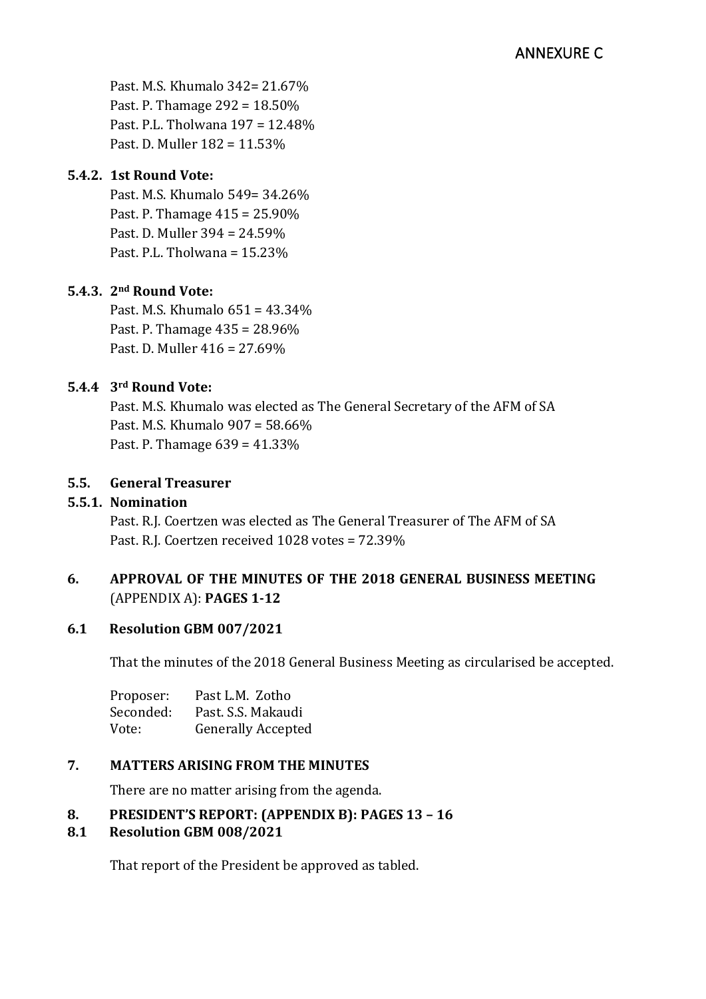Past. M.S. Khumalo 342= 21.67% Past. P. Thamage 292 = 18.50% Past. P.L. Tholwana 197 = 12.48% Past. D. Muller 182 = 11.53%

# **5.4.2. 1st Round Vote:**

Past. M.S. Khumalo 549= 34.26% Past. P. Thamage 415 = 25.90% Past. D. Muller 394 = 24.59% Past. P.L. Tholwana = 15.23%

# **5.4.3. 2nd Round Vote:**

Past. M.S. Khumalo 651 = 43.34% Past. P. Thamage 435 = 28.96% Past. D. Muller 416 = 27.69%

# **5.4.4 3rd Round Vote:**

Past. M.S. Khumalo was elected as The General Secretary of the AFM of SA Past. M.S. Khumalo 907 = 58.66% Past. P. Thamage 639 = 41.33%

# **5.5. General Treasurer**

# **5.5.1. Nomination**

Past. R.J. Coertzen was elected as The General Treasurer of The AFM of SA Past. R.J. Coertzen received 1028 votes = 72.39%

# **6.** APPROVAL OF THE MINUTES OF THE 2018 GENERAL BUSINESS MEETING (APPENDIX A): **PAGES 1-12**

# **6.1 Resolution GBM 007/2021**

That the minutes of the 2018 General Business Meeting as circularised be accepted.

| Proposer: | Past L.M. Zotho           |
|-----------|---------------------------|
| Seconded: | Past. S.S. Makaudi        |
| Vote:     | <b>Generally Accepted</b> |

# **7. MATTERS ARISING FROM THE MINUTES**

There are no matter arising from the agenda.

# **8. PRESIDENT'S REPORT: (APPENDIX B): PAGES 13 – 16**

# **8.1 Resolution GBM 008/2021**

That report of the President be approved as tabled.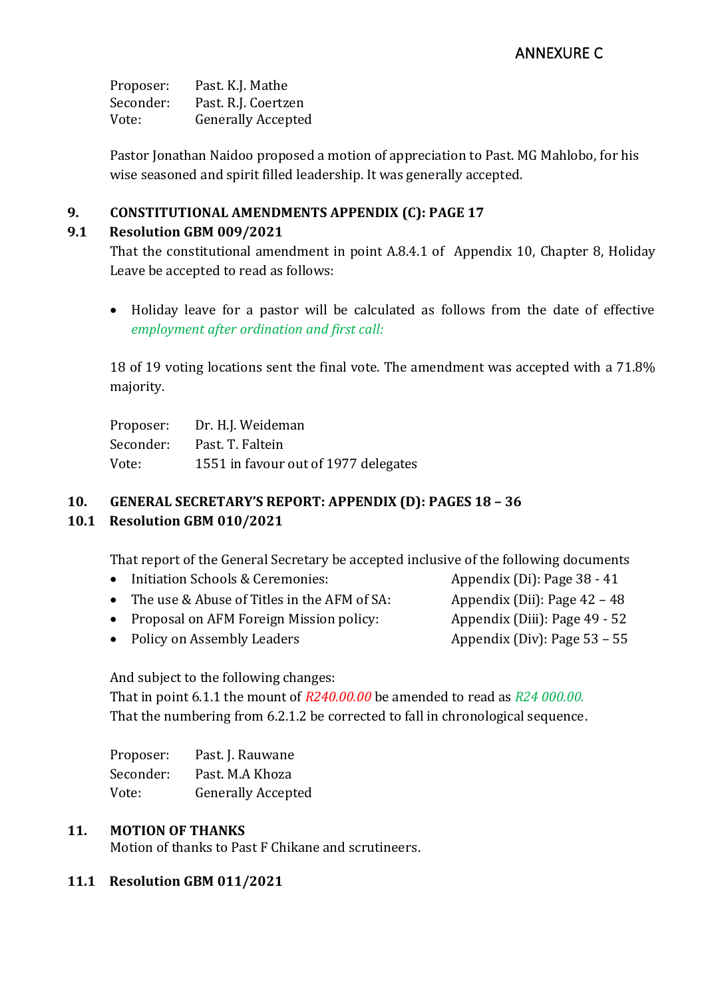# ANNEXURE C

Proposer: Past. K.J. Mathe Seconder: Past. R.J. Coertzen Vote: Generally Accepted

Pastor Jonathan Naidoo proposed a motion of appreciation to Past. MG Mahlobo, for his wise seasoned and spirit filled leadership. It was generally accepted.

# **9. CONSTITUTIONAL AMENDMENTS APPENDIX (C): PAGE 17**

# **9.1 Resolution GBM 009/2021**

That the constitutional amendment in point A.8.4.1 of Appendix 10, Chapter 8, Holiday Leave be accepted to read as follows:

• Holiday leave for a pastor will be calculated as follows from the date of effective *employment after ordination and first call:*

18 of 19 voting locations sent the final vote. The amendment was accepted with a 71.8% majority.

Proposer: Dr. H.J. Weideman Seconder: Past. T. Faltein Vote: 1551 in favour out of 1977 delegates

# **10. GENERAL SECRETARY'S REPORT: APPENDIX (D): PAGES 18 – 36**

# **10.1 Resolution GBM 010/2021**

That report of the General Secretary be accepted inclusive of the following documents

- Initiation Schools & Ceremonies: Appendix (Di): Page 38 41
- The use & Abuse of Titles in the AFM of SA:  $\overline{A}$  Appendix (Dii): Page 42 48
- Proposal on AFM Foreign Mission policy: Appendix (Diii): Page 49 52
- 
- Policy on Assembly Leaders Appendix (Div): Page 53 55

And subject to the following changes:

That in point 6.1.1 the mount of *R240.00.00* be amended to read as *R24 000.00.* That the numbering from 6.2.1.2 be corrected to fall in chronological sequence.

| Proposer: | Past. J. Rauwane          |
|-----------|---------------------------|
| Seconder: | Past. M.A Khoza           |
| Vote:     | <b>Generally Accepted</b> |

### **11. MOTION OF THANKS**

Motion of thanks to Past F Chikane and scrutineers.

### **11.1 Resolution GBM 011/2021**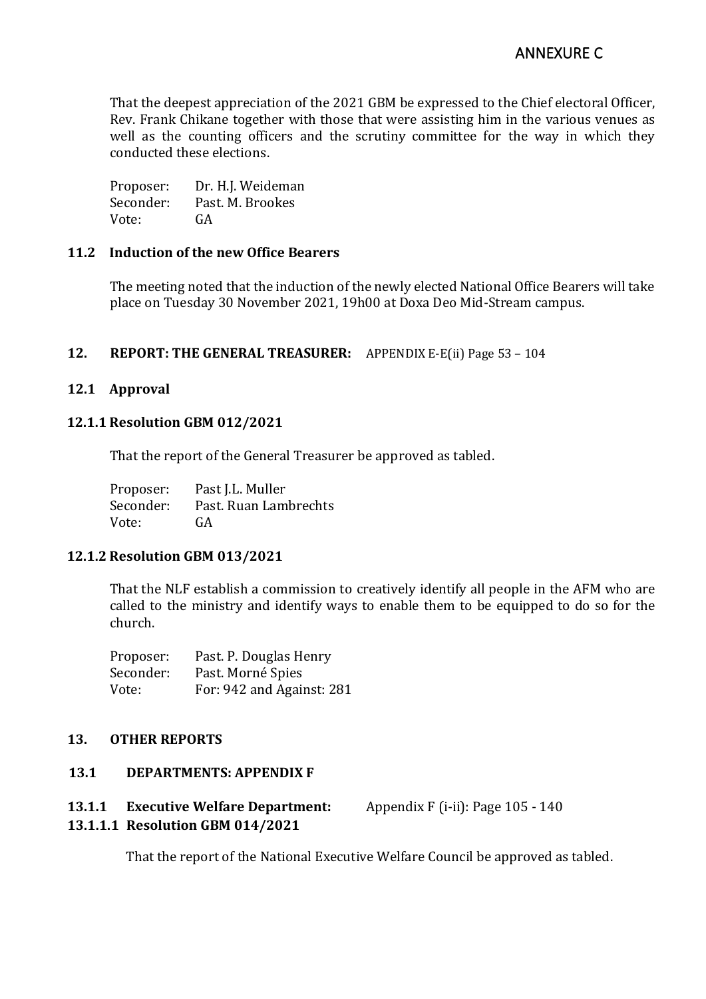That the deepest appreciation of the 2021 GBM be expressed to the Chief electoral Officer, Rev. Frank Chikane together with those that were assisting him in the various venues as well as the counting officers and the scrutiny committee for the way in which they conducted these elections.

Proposer: Dr. H.J. Weideman Seconder: Past. M. Brookes Vote: GA

#### **11.2 Induction of the new Office Bearers**

The meeting noted that the induction of the newly elected National Office Bearers will take place on Tuesday 30 November 2021, 19h00 at Doxa Deo Mid-Stream campus.

#### **12. REPORT: THE GENERAL TREASURER:** APPENDIX E-E(ii) Page 53 – 104

#### **12.1 Approval**

#### **12.1.1 Resolution GBM 012/2021**

That the report of the General Treasurer be approved as tabled.

| Proposer: | Past J.L. Muller      |
|-----------|-----------------------|
| Seconder: | Past. Ruan Lambrechts |
| Vote:     | GA                    |

#### **12.1.2 Resolution GBM 013/2021**

That the NLF establish a commission to creatively identify all people in the AFM who are called to the ministry and identify ways to enable them to be equipped to do so for the church.

| Proposer: | Past. P. Douglas Henry    |
|-----------|---------------------------|
| Seconder: | Past. Morné Spies         |
| Vote:     | For: 942 and Against: 281 |

#### **13. OTHER REPORTS**

#### **13.1 DEPARTMENTS: APPENDIX F**

#### **13.1.1 Executive Welfare Department:** Appendix F (i-ii): Page 105 - 140

### **13.1.1.1 Resolution GBM 014/2021**

That the report of the National Executive Welfare Council be approved as tabled.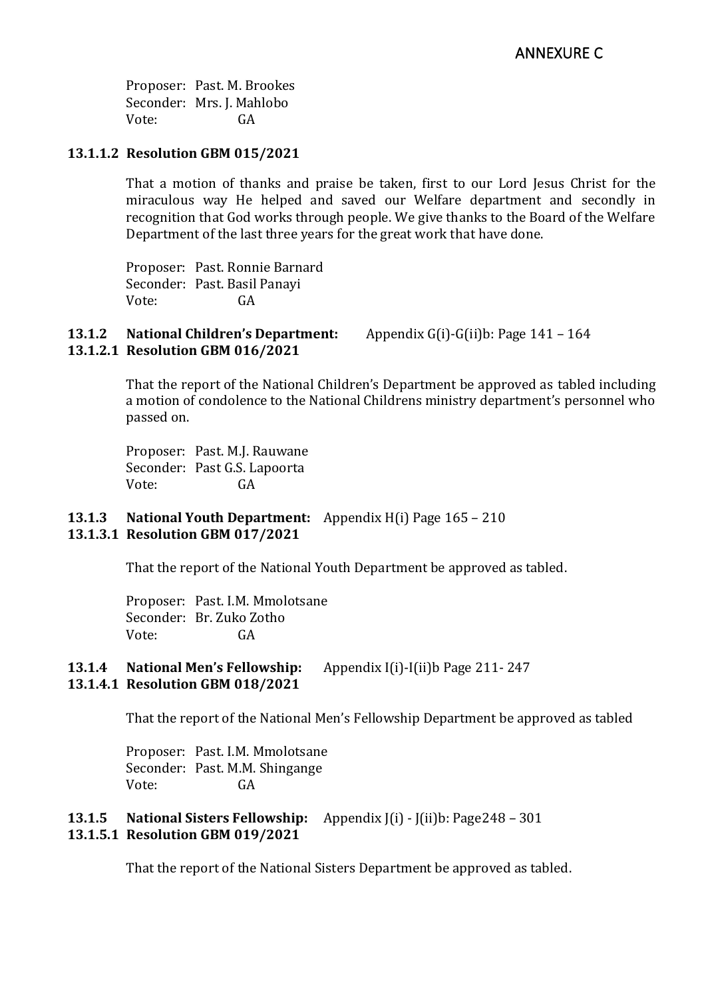Proposer: Past. M. Brookes Seconder: Mrs. J. Mahlobo Vote: GA

### **13.1.1.2 Resolution GBM 015/2021**

That a motion of thanks and praise be taken, first to our Lord Jesus Christ for the miraculous way He helped and saved our Welfare department and secondly in recognition that God works through people. We give thanks to the Board of the Welfare Department of the last three years for the great work that have done.

Proposer: Past. Ronnie Barnard Seconder: Past. Basil Panayi Vote: GA

#### **13.1.2 National Children's Department:** Appendix G(i)-G(ii)b: Page 141 – 164 **13.1.2.1 Resolution GBM 016/2021**

That the report of the National Children's Department be approved as tabled including a motion of condolence to the National Childrens ministry department's personnel who passed on.

Proposer: Past. M.J. Rauwane Seconder: Past G.S. Lapoorta Vote: GA

### **13.1.3 National Youth Department:** Appendix H(i) Page 165 – 210 **13.1.3.1 Resolution GBM 017/2021**

That the report of the National Youth Department be approved as tabled.

Proposer: Past. I.M. Mmolotsane Seconder: Br. Zuko Zotho Vote: GA

#### **13.1.4 National Men's Fellowship:** Appendix I(i)-I(ii)b Page 211- 247 **13.1.4.1 Resolution GBM 018/2021**

That the report of the National Men's Fellowship Department be approved as tabled

Proposer: Past. I.M. Mmolotsane Seconder: Past. M.M. Shingange Vote: GA

### **13.1.5 National Sisters Fellowship:** Appendix J(i) - J(ii)b: Page248 – 301 **13.1.5.1 Resolution GBM 019/2021**

That the report of the National Sisters Department be approved as tabled.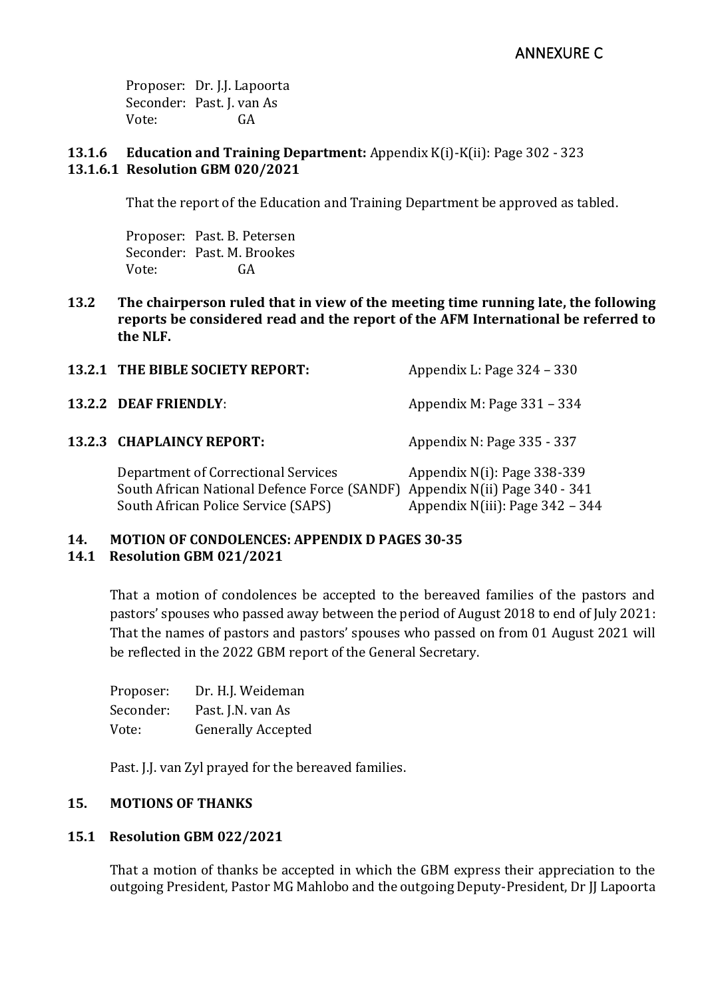Proposer: Dr. J.J. Lapoorta Seconder: Past. J. van As Vote: GA

### **13.1.6 Education and Training Department:** Appendix K(i)-K(ii): Page 302 - 323 **13.1.6.1 Resolution GBM 020/2021**

That the report of the Education and Training Department be approved as tabled.

Proposer: Past. B. Petersen Seconder: Past. M. Brookes Vote: GA

**13.2 The chairperson ruled that in view of the meeting time running late, the following reports be considered read and the report of the AFM International be referred to the NLF.**

| 13.2.1 THE BIBLE SOCIETY REPORT:                                                                                                                         | Appendix L: Page 324 – 330                                        |
|----------------------------------------------------------------------------------------------------------------------------------------------------------|-------------------------------------------------------------------|
| 13.2.2 DEAF FRIENDLY:                                                                                                                                    | Appendix M: Page 331 - 334                                        |
| 13.2.3 CHAPLAINCY REPORT:                                                                                                                                | Appendix N: Page 335 - 337                                        |
| Department of Correctional Services<br>South African National Defence Force (SANDF) Appendix N(ii) Page 340 - 341<br>South African Police Service (SAPS) | Appendix $N(i)$ : Page 338-339<br>Appendix N(iii): Page 342 - 344 |

# **14. MOTION OF CONDOLENCES: APPENDIX D PAGES 30-35**

### **14.1 Resolution GBM 021/2021**

That a motion of condolences be accepted to the bereaved families of the pastors and pastors' spouses who passed away between the period of August 2018 to end of July 2021: That the names of pastors and pastors' spouses who passed on from 01 August 2021 will be reflected in the 2022 GBM report of the General Secretary.

| Proposer: | Dr. H.J. Weideman         |
|-----------|---------------------------|
| Seconder: | Past. J.N. van As         |
| Vote:     | <b>Generally Accepted</b> |

Past. J.J. van Zyl prayed for the bereaved families.

# **15. MOTIONS OF THANKS**

# **15.1 Resolution GBM 022/2021**

That a motion of thanks be accepted in which the GBM express their appreciation to the outgoing President, Pastor MG Mahlobo and the outgoing Deputy-President, Dr JJ Lapoorta